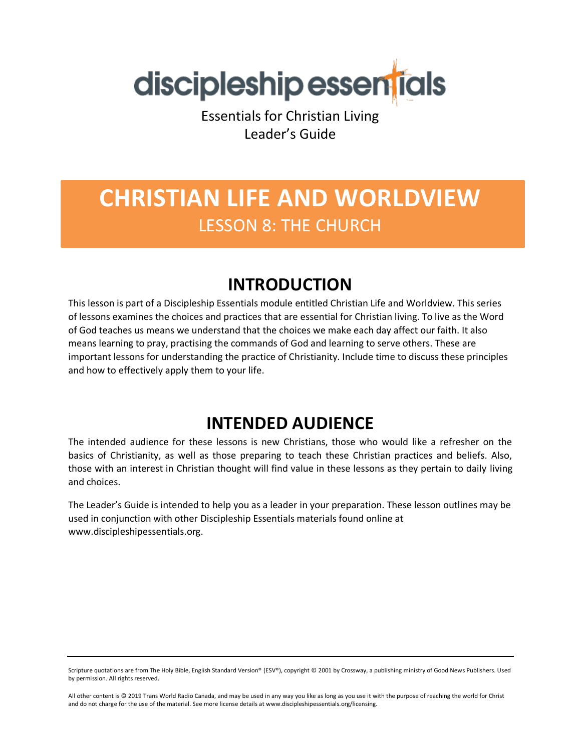

Essentials for Christian Living Leader's Guide

# **CHRISTIAN LIFE AND WORLDVIEW** LESSON 8: THE CHURCH

### **INTRODUCTION**

This lesson is part of a Discipleship Essentials module entitled Christian Life and Worldview. This series of lessons examines the choices and practices that are essential for Christian living. To live as the Word of God teaches us means we understand that the choices we make each day affect our faith. It also means learning to pray, practising the commands of God and learning to serve others. These are important lessons for understanding the practice of Christianity. Include time to discuss these principles and how to effectively apply them to your life.

### **INTENDED AUDIENCE**

The intended audience for these lessons is new Christians, those who would like a refresher on the basics of Christianity, as well as those preparing to teach these Christian practices and beliefs. Also, those with an interest in Christian thought will find value in these lessons as they pertain to daily living and choices.

The Leader's Guide is intended to help you as a leader in your preparation. These lesson outlines may be used in conjunction with other Discipleship Essentials materials found online at www.discipleshipessentials.org.

Scripture quotations are from The Holy Bible, English Standard Version® (ESV®), copyright © 2001 by Crossway, a publishing ministry of Good News Publishers. Used by permission. All rights reserved.

All other content is © 2019 Trans World Radio Canada, and may be used in any way you like as long as you use it with the purpose of reaching the world for Christ and do not charge for the use of the material. See more license details at www.discipleshipessentials.org/licensing.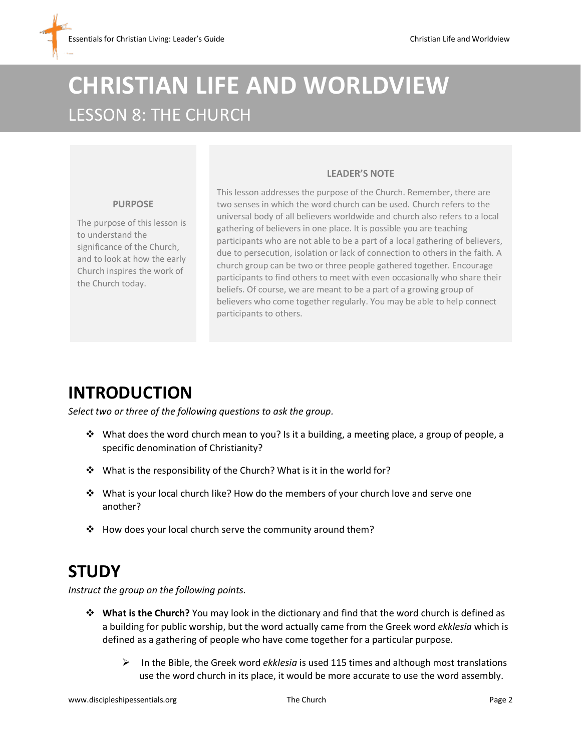# **CHRISTIAN LIFE AND WORLDVIEW** LESSON 8: THE CHURCH

#### **LEADER'S NOTE**

#### **PURPOSE**

The purpose of this lesson is to understand the significance of the Church, and to look at how the early Church inspires the work of the Church today.

This lesson addresses the purpose of the Church. Remember, there are two senses in which the word church can be used. Church refers to the universal body of all believers worldwide and church also refers to a local gathering of believers in one place. It is possible you are teaching participants who are not able to be a part of a local gathering of believers, due to persecution, isolation or lack of connection to others in the faith. A church group can be two or three people gathered together. Encourage participants to find others to meet with even occasionally who share their beliefs. Of course, we are meant to be a part of a growing group of believers who come together regularly. You may be able to help connect participants to others.

### **INTRODUCTION**

*Select two or three of the following questions to ask the group.*

- $\dots$  What does the word church mean to you? Is it a building, a meeting place, a group of people, a specific denomination of Christianity?
- ❖ What is the responsibility of the Church? What is it in the world for?
- ❖ What is your local church like? How do the members of your church love and serve one another?
- ❖ How does your local church serve the community around them?

### **STUDY**

*Instruct the group on the following points.* 

- ❖ **What is the Church?** You may look in the dictionary and find that the word church is defined as a building for public worship, but the word actually came from the Greek word *ekklesia* which is defined as a gathering of people who have come together for a particular purpose.
	- ➢ In the Bible, the Greek word *ekklesia* is used 115 times and although most translations use the word church in its place, it would be more accurate to use the word assembly.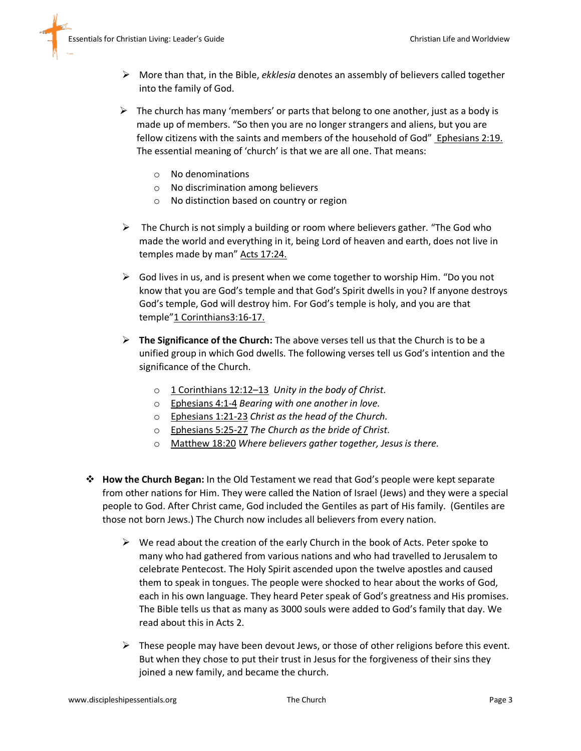- ➢ More than that, in the Bible, *ekklesia* denotes an assembly of believers called together into the family of God.
- $\triangleright$  The church has many 'members' or parts that belong to one another, just as a body is made up of members. "So then you are no longer strangers and aliens, but you are fellow citizens with the saints and members of the household of God" Ephesians 2:19. The essential meaning of 'church' is that we are all one. That means:
	- o No denominations
	- o No discrimination among believers
	- o No distinction based on country or region
- $\triangleright$  The Church is not simply a building or room where believers gather. "The God who made the world and everything in it, being Lord of heaven and earth, does not live in temples made by man" Acts 17:24.
- $\triangleright$  God lives in us, and is present when we come together to worship Him. "Do you not know that you are God's temple and that God's Spirit dwells in you? If anyone destroys God's temple, God will destroy him. For God's temple is holy, and you are that temple"1 Corinthians3:16-17.
- ➢ **The Significance of the Church:** The above verses tell us that the Church is to be a unified group in which God dwells. The following verses tell us God's intention and the significance of the Church.
	- o 1 Corinthians 12:12–13 *Unity in the body of Christ.*
	- o Ephesians 4:1-4 *Bearing with one another in love.*
	- o Ephesians 1:21-23 *Christ as the head of the Church.*
	- o Ephesians 5:25-27 *The Church as the bride of Christ.*
	- o Matthew 18:20 *Where believers gather together, Jesus is there.*
- ❖ **How the Church Began:** In the Old Testament we read that God's people were kept separate from other nations for Him. They were called the Nation of Israel (Jews) and they were a special people to God. After Christ came, God included the Gentiles as part of His family. (Gentiles are those not born Jews.) The Church now includes all believers from every nation.
	- $\triangleright$  We read about the creation of the early Church in the book of Acts. Peter spoke to many who had gathered from various nations and who had travelled to Jerusalem to celebrate Pentecost. The Holy Spirit ascended upon the twelve apostles and caused them to speak in tongues. The people were shocked to hear about the works of God, each in his own language. They heard Peter speak of God's greatness and His promises. The Bible tells us that as many as 3000 souls were added to God's family that day. We read about this in Acts 2.
	- $\triangleright$  These people may have been devout Jews, or those of other religions before this event. But when they chose to put their trust in Jesus for the forgiveness of their sins they joined a new family, and became the church.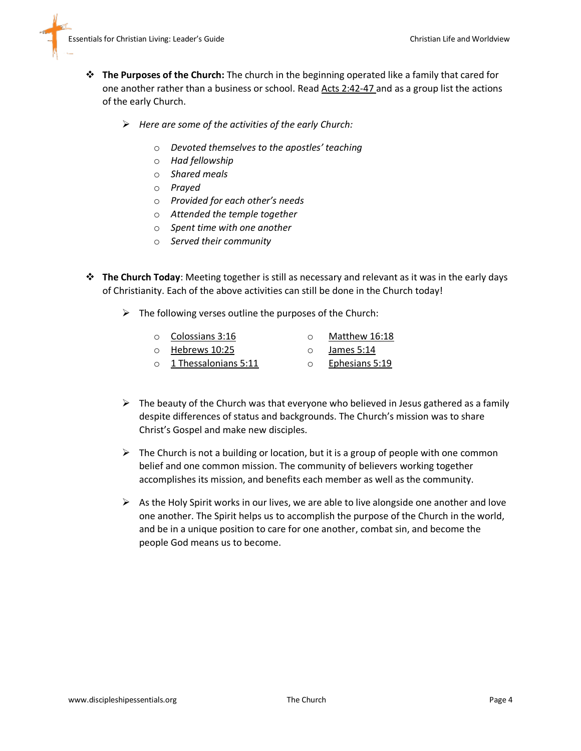

- ❖ **The Purposes of the Church:** The church in the beginning operated like a family that cared for one another rather than a business or school. Read Acts 2:42-47 and as a group list the actions of the early Church.
	- ➢ *Here are some of the activities of the early Church:*
		- o *Devoted themselves to the apostles' teaching*
		- o *Had fellowship*
		- o *Shared meals*
		- o *Prayed*
		- o *Provided for each other's needs*
		- o *Attended the temple together*
		- o *Spent time with one another*
		- o *Served their community*
- ❖ **The Church Today**: Meeting together is still as necessary and relevant as it was in the early days of Christianity. Each of the above activities can still be done in the Church today!
	- $\triangleright$  The following verses outline the purposes of the Church:

| Colossians 3:16          | Matthew 16:18   |  |
|--------------------------|-----------------|--|
| $H \circ h$ rows $10.25$ | $l$ amoc $E:11$ |  |

- o Hebrews 10:25 o 1 Thessalonians 5:11 o James 5:14 o Ephesians 5:19
- $\triangleright$  The beauty of the Church was that everyone who believed in Jesus gathered as a family despite differences of status and backgrounds. The Church's mission was to share Christ's Gospel and make new disciples.
- $\triangleright$  The Church is not a building or location, but it is a group of people with one common belief and one common mission. The community of believers working together accomplishes its mission, and benefits each member as well as the community.
- $\triangleright$  As the Holy Spirit works in our lives, we are able to live alongside one another and love one another. The Spirit helps us to accomplish the purpose of the Church in the world, and be in a unique position to care for one another, combat sin, and become the people God means us to become.